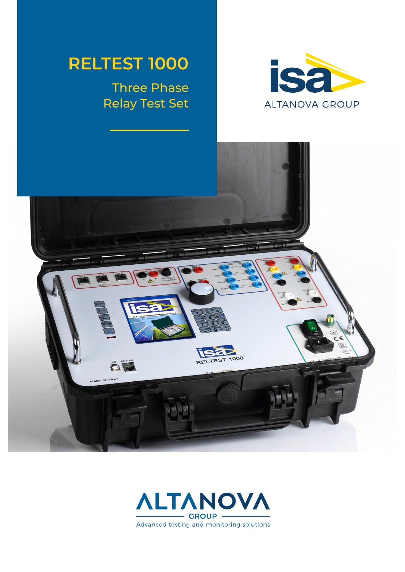# **RELTEST 1000**

## Three Phase Relay Test Set





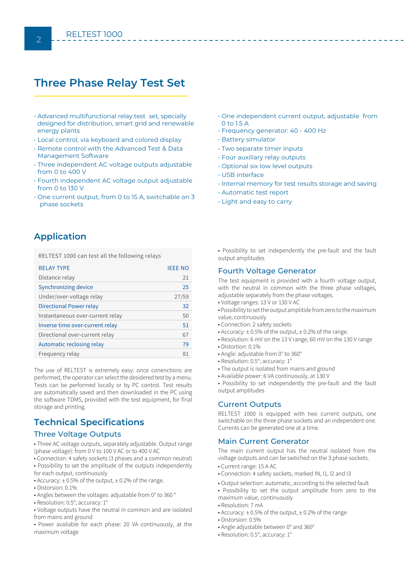## **Three Phase Relay Test Set**

- Advanced multifunctional relay test set, specially designed for distribution, smart grid and renewable energy plants
- Local control, via keyboard and colored display
- Remote control with the Advanced Test & Data Management Software
- Three independent AC voltage outputs adjustable from 0 to 400 V
- Fourth independent AC voltage output adjustable from 0 to 130 V
- One current output, from 0 to 15 A, switchable on 3 phase sockets
- One independent current output, adjustable from 0 to 1.5 A
- Frequency generator: 40 400 Hz
- Battery simulator
- Two separate timer inputs
- Four auxiliary relay outputs
- Optional six low level outputs
- USB interface
- Internal memory for test results storage and saving
- Automatic test report
- Light and easy to carry

### **Application**

RELTEST 1000 can test all the following relays

| <b>RELAY TYPE</b>                | <b>IEEE NO</b> |
|----------------------------------|----------------|
| Distance relay                   | 21             |
| Synchronizing device             | 25             |
| Under/over-voltage relay         | 27/59          |
| Directional Power relay          | 32             |
| Instantaneous over-current relay | 50             |
| Inverse time over-current relay  | 51             |
| Directional over-current relay   | 67             |
| Automatic reclosing relay        | 79             |
| Frequency relay                  | 81             |

The use of RELTEST is extremely easy: once conenctions are performed, the operator can select the desidered test by a menu. Tests can be performed locally or by PC control. Test results are automatically saved and then downloaded in the PC using the software TDMS, provided with the test equipment, for final storage and printing.

## **Technical Specifications**

#### Three Voltage Outputs

• Three AC voltage outputs, separately adjustable. Output range (phase voltage): from 0 V to 100 V AC or to 400 V AC

• Connection: 4 safety sockets (3 phases and a common neutral) • Possibility to set the amplitude of the outputs independently for each output, continuously

- Accuracy: ± 0.5% of the output, ± 0.2% of the range.
- Distorsion: 0.1%
- Angles between the voltages: adjustable from 0° to 360 °
- Resolution: 0.5°; accuracy: 1°

• Voltage outputs have the neutral in common and are isolated from mains and ground

• Power available for each phase: 20 VA continuously, at the maximum voltage

• Possibility to set independently the pre-fault and the fault output amplitudes

#### Fourth Voltage Generator

The test equipment is provided with a fourth voltage output, with the neutral in common with the three phase voltages, adjustable separately from the phase voltages.

- Voltage ranges: 13 V or 130 V AC
- Possibility to set the output amplitide from zero to the maximum value, continuously
- Connection: 2 safety sockets
- Accuracy: ± 0.5% of the output, ± 0.2% of the range.
- Resolution: 6 mV on the 13 V range, 60 mV on the 130 V range
- Distortion: 0.1%
- Angle: adjustable from 0° to 360°
- Resolution: 0.5°; accuracy: 1°
- The output is isolated from mains and ground
- Available power: 6 VA continuously, at 130 V

• Possibility to set independently the pre-fault and the fault output amplitudes

#### Current Outputs

RELTEST 1000 is equipped with two current outputs, one switchable on the three phase sockets and an independent one. Currents can be generated one at a time.

#### Main Current Generator

The main current output has the neutral isolated from the voltage outputs and can be swtiched on the 3 phase sockets.

- Current range: 15 A AC
- Connection: 4 safety sockets, marked IN, I1, I2 and I3
- Output selection: automatic, according to the selected fault
- Possibility to set the output amplitude from zero to the maximum value, continuously
- Resolution: 7 mA
- Accuracy: ± 0.5% of the output, ± 0.2% of the range
- Distorsion: 0.5%
- Angle adjustable between 0° and 360°
- Resolution: 0.5°; accuracy: 1°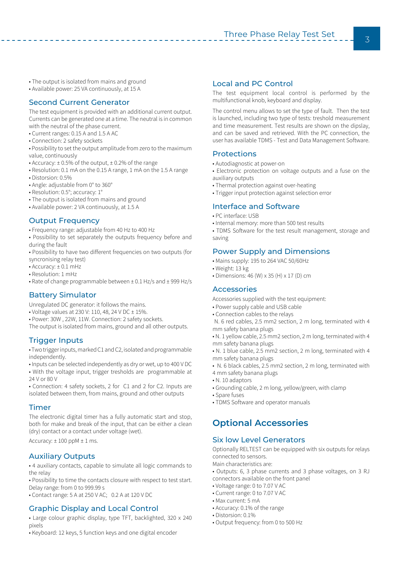- The output is isolated from mains and ground
- Available power: 25 VA continuously, at 15 A

#### Second Current Generator

The test equipment is provided with an additional current output. Currents can be generated one at a time. The neutral is in common with the neutral of the phase current.

- Current ranges: 0.15 A and 1.5 A AC
- Connection: 2 safety sockets
- Possibility to set the output amplitude from zero to the maximum value, continuously
- Accuracy: ± 0.5% of the output, ± 0.2% of the range
- Resolution: 0.1 mA on the 0.15 A range, 1 mA on the 1.5 A range
- Distorsion: 0.5%
- Angle: adjustable from 0° to 360°
- Resolution: 0.5°; accuracy: 1°
- The output is isolated from mains and ground
- Available power: 2 VA continuously, at 1.5 A

#### **Output Frequency**

- Frequency range: adjustable from 40 Hz to 400 Hz
- Possibility to set separately the outputs frequency before and during the fault
- Possibility to have two different frequencies on two outputs (for syncronising relay test)
- Accuracy: ± 0.1 mHz
- Resolution: 1 mHz
- Rate of change programmable between ± 0.1 Hz/s and ± 999 Hz/s

#### Battery Simulator

Unregulated DC generator: it follows the mains.

- Voltage values at 230 V: 110, 48, 24 V DC ± 15%.
- Power: 30W , 22W, 11W. Connection: 2 safety sockets.
- The output is isolated from mains, ground and all other outputs.

#### Trigger Inputs

• Two trigger inputs, marked C1 and C2, isolated and programmable independently.

• Inputs can be selected independently as dry or wet, up to 400 V DC • With the voltage input, trigger tresholds are programmable at 24 V or 80 V

• Connection: 4 safety sockets, 2 for C1 and 2 for C2. Inputs are isolated between them, from mains, ground and other outputs

#### Timer

The electronic digital timer has a fully automatic start and stop, both for make and break of the input, that can be either a clean (dry) contact or a contact under voltage (wet).

Accuracy:  $\pm$  100 ppM  $\pm$  1 ms.

#### Auxiliary Outputs

• 4 auxiliary contacts, capable to simulate all logic commands to the relay

• Possibility to time the contacts closure with respect to test start. Delay range: from 0 to 999.99 s

• Contact range: 5 A at 250 V AC; 0.2 A at 120 V DC

#### Graphic Display and Local Control

- Large colour graphic display, type TFT, backlighted, 320 x 240 pixels
- Keyboard: 12 keys, 5 function keys and one digital encoder

#### Local and PC Control

The test equipment local control is performed by the multifunctional knob, keyboard and display.

The control menu allows to set the type of fault. Then the test is launched, including two type of tests: treshold measurement and time measurement. Test results are shown on the dipslay, and can be saved and retrieved. With the PC connection, the user has available TDMS - Test and Data Management Software.

#### **Protections**

- Autodiagnostic at power-on
- Electronic protection on voltage outputs and a fuse on the auxiliary outputs
- Thermal protection against over-heating
- Trigger input protection against selection error

#### Interface and Software

- PC interface: USB
- Internal memory: more than 500 test results
- TDMS Software for the test result management, storage and saving

#### Power Supply and Dimensions

- Mains supply: 195 to 264 VAC 50/60Hz
- Weight: 13 kg
- Dimensions: 46 (W) x 35 (H) x 17 (D) cm

#### **Accessories**

Accessories supplied with the test equipment:

- Power supply cable and USB cable
- Connection cables to the relays

 N. 6 red cables, 2.5 mm2 section, 2 m long, terminated with 4 mm safety banana plugs

• N. 1 yellow cable, 2.5 mm2 section, 2 m long, terminated with 4 mm safety banana plugs

- N. 1 blue cable, 2.5 mm2 section, 2 m long, terminated with 4 mm safety banana plugs
- N. 6 black cables, 2.5 mm2 section, 2 m long, terminated with
- 4 mm safety banana plugs
- N. 10 adaptors
- Grounding cable, 2 m long, yellow/green, with clamp
- Spare fuses
- TDMS Software and operator manuals

## **Optional Accessories**

#### Six low Level Generators

Optionally RELTEST can be equipped with six outputs for relays connected to sensors.

- Main characteristics are:
- Outputs: 6, 3 phase currents and 3 phase voltages, on 3 RJ connectors available on the front panel
- Voltage range: 0 to 7.07 V AC
- Current range: 0 to 7.07 V AC
- Max current: 5 mA
- Accuracy: 0.1% of the range
- Distorsion: 0.1%
- Output frequency: from 0 to 500 Hz